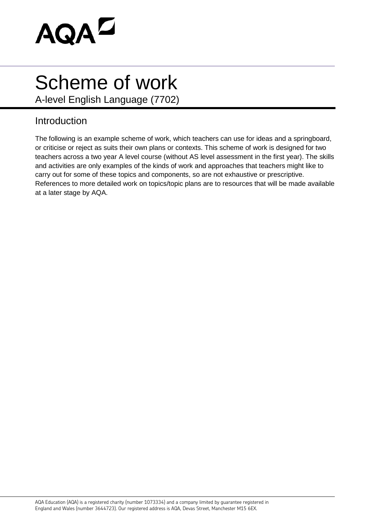

## Scheme of work

A-level English Language (7702)

## Introduction

The following is an example scheme of work, which teachers can use for ideas and a springboard, or criticise or reject as suits their own plans or contexts. This scheme of work is designed for two teachers across a two year A level course (without AS level assessment in the first year). The skills and activities are only examples of the kinds of work and approaches that teachers might like to carry out for some of these topics and components, so are not exhaustive or prescriptive. References to more detailed work on topics/topic plans are to resources that will be made available at a later stage by AQA.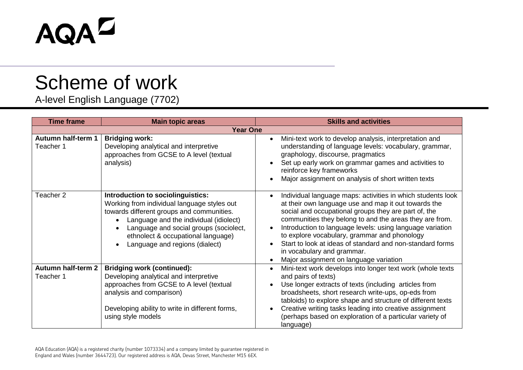## AQAD

## Scheme of work

A-level English Language (7702)

| <b>Time frame</b>                      | <b>Main topic areas</b>                                                                                                                                                                                                                                                                   | <b>Skills and activities</b>                                                                                                                                                                                                                                                                                                                                                                                                                                                                                                    |  |  |
|----------------------------------------|-------------------------------------------------------------------------------------------------------------------------------------------------------------------------------------------------------------------------------------------------------------------------------------------|---------------------------------------------------------------------------------------------------------------------------------------------------------------------------------------------------------------------------------------------------------------------------------------------------------------------------------------------------------------------------------------------------------------------------------------------------------------------------------------------------------------------------------|--|--|
| <b>Year One</b>                        |                                                                                                                                                                                                                                                                                           |                                                                                                                                                                                                                                                                                                                                                                                                                                                                                                                                 |  |  |
| <b>Autumn half-term 1</b><br>Teacher 1 | <b>Bridging work:</b><br>Developing analytical and interpretive<br>approaches from GCSE to A level (textual<br>analysis)                                                                                                                                                                  | Mini-text work to develop analysis, interpretation and<br>$\bullet$<br>understanding of language levels: vocabulary, grammar,<br>graphology, discourse, pragmatics<br>Set up early work on grammar games and activities to<br>reinforce key frameworks<br>Major assignment on analysis of short written texts<br>$\bullet$                                                                                                                                                                                                      |  |  |
| Teacher 2                              | Introduction to sociolinguistics:<br>Working from individual language styles out<br>towards different groups and communities.<br>Language and the individual (idiolect)<br>Language and social groups (sociolect,<br>ethnolect & occupational language)<br>Language and regions (dialect) | Individual language maps: activities in which students look<br>$\bullet$<br>at their own language use and map it out towards the<br>social and occupational groups they are part of, the<br>communities they belong to and the areas they are from.<br>Introduction to language levels: using language variation<br>$\bullet$<br>to explore vocabulary, grammar and phonology<br>Start to look at ideas of standard and non-standard forms<br>in vocabulary and grammar.<br>Major assignment on language variation<br>$\bullet$ |  |  |
| <b>Autumn half-term 2</b><br>Teacher 1 | <b>Bridging work (continued):</b><br>Developing analytical and interpretive<br>approaches from GCSE to A level (textual<br>analysis and comparison)<br>Developing ability to write in different forms,<br>using style models                                                              | Mini-text work develops into longer text work (whole texts<br>$\bullet$<br>and pairs of texts)<br>Use longer extracts of texts (including articles from<br>$\bullet$<br>broadsheets, short research write-ups, op-eds from<br>tabloids) to explore shape and structure of different texts<br>Creative writing tasks leading into creative assignment<br>$\bullet$<br>(perhaps based on exploration of a particular variety of<br>language)                                                                                      |  |  |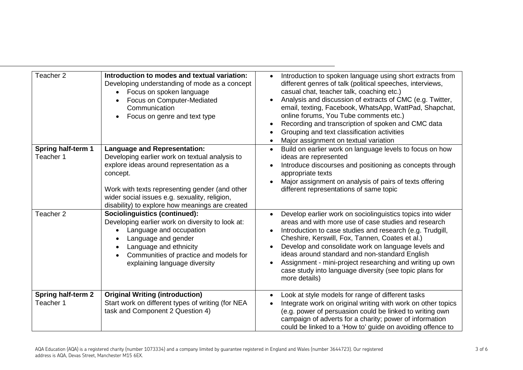| Teacher 2          | Introduction to modes and textual variation:<br>Developing understanding of mode as a concept<br>Focus on spoken language<br>Focus on Computer-Mediated<br>Communication<br>Focus on genre and text type                                        | Introduction to spoken language using short extracts from<br>different genres of talk (political speeches, interviews,<br>casual chat, teacher talk, coaching etc.)<br>Analysis and discussion of extracts of CMC (e.g. Twitter,<br>email, texting, Facebook, WhatsApp, WattPad, Shapchat,<br>online forums, You Tube comments etc.)<br>Recording and transcription of spoken and CMC data<br>Grouping and text classification activities<br>Major assignment on textual variation  |
|--------------------|-------------------------------------------------------------------------------------------------------------------------------------------------------------------------------------------------------------------------------------------------|-------------------------------------------------------------------------------------------------------------------------------------------------------------------------------------------------------------------------------------------------------------------------------------------------------------------------------------------------------------------------------------------------------------------------------------------------------------------------------------|
| Spring half-term 1 | <b>Language and Representation:</b>                                                                                                                                                                                                             | Build on earlier work on language levels to focus on how                                                                                                                                                                                                                                                                                                                                                                                                                            |
| Teacher 1          | Developing earlier work on textual analysis to                                                                                                                                                                                                  | ideas are represented                                                                                                                                                                                                                                                                                                                                                                                                                                                               |
|                    | explore ideas around representation as a<br>concept.                                                                                                                                                                                            | Introduce discourses and positioning as concepts through<br>appropriate texts                                                                                                                                                                                                                                                                                                                                                                                                       |
|                    |                                                                                                                                                                                                                                                 | Major assignment on analysis of pairs of texts offering                                                                                                                                                                                                                                                                                                                                                                                                                             |
|                    | Work with texts representing gender (and other<br>wider social issues e.g. sexuality, religion,<br>disability) to explore how meanings are created                                                                                              | different representations of same topic                                                                                                                                                                                                                                                                                                                                                                                                                                             |
| Teacher 2          | <b>Sociolinguistics (continued):</b><br>Developing earlier work on diversity to look at:<br>Language and occupation<br>Language and gender<br>Language and ethnicity<br>Communities of practice and models for<br>explaining language diversity | Develop earlier work on sociolinguistics topics into wider<br>areas and with more use of case studies and research<br>Introduction to case studies and research (e.g. Trudgill,<br>Cheshire, Kerswill, Fox, Tannen, Coates et al.)<br>Develop and consolidate work on language levels and<br>ideas around standard and non-standard English<br>Assignment - mini-project researching and writing up own<br>case study into language diversity (see topic plans for<br>more details) |
| Spring half-term 2 | <b>Original Writing (introduction)</b>                                                                                                                                                                                                          | Look at style models for range of different tasks                                                                                                                                                                                                                                                                                                                                                                                                                                   |
| Teacher 1          | Start work on different types of writing (for NEA<br>task and Component 2 Question 4)                                                                                                                                                           | Integrate work on original writing with work on other topics<br>(e.g. power of persuasion could be linked to writing own<br>campaign of adverts for a charity; power of information<br>could be linked to a 'How to' guide on avoiding offence to                                                                                                                                                                                                                                   |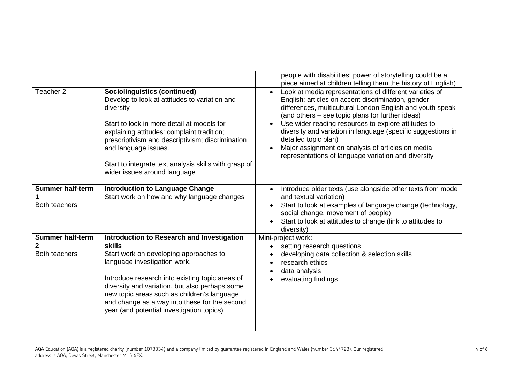|                                                                                                                                                                                                                                                                                                                                                                    | people with disabilities; power of storytelling could be a<br>piece aimed at children telling them the history of English)                                                                                                                                                                                                                                                                                                                                                                |
|--------------------------------------------------------------------------------------------------------------------------------------------------------------------------------------------------------------------------------------------------------------------------------------------------------------------------------------------------------------------|-------------------------------------------------------------------------------------------------------------------------------------------------------------------------------------------------------------------------------------------------------------------------------------------------------------------------------------------------------------------------------------------------------------------------------------------------------------------------------------------|
| <b>Sociolinguistics (continued)</b><br>Develop to look at attitudes to variation and<br>diversity<br>Start to look in more detail at models for<br>explaining attitudes: complaint tradition;<br>prescriptivism and descriptivism; discrimination<br>and language issues.<br>Start to integrate text analysis skills with grasp of<br>wider issues around language | Look at media representations of different varieties of<br>English: articles on accent discrimination, gender<br>differences, multicultural London English and youth speak<br>(and others – see topic plans for further ideas)<br>Use wider reading resources to explore attitudes to<br>diversity and variation in language (specific suggestions in<br>detailed topic plan)<br>Major assignment on analysis of articles on media<br>representations of language variation and diversity |
| <b>Introduction to Language Change</b>                                                                                                                                                                                                                                                                                                                             | Introduce older texts (use alongside other texts from mode<br>$\bullet$<br>and textual variation)                                                                                                                                                                                                                                                                                                                                                                                         |
|                                                                                                                                                                                                                                                                                                                                                                    | Start to look at examples of language change (technology,<br>social change, movement of people)<br>Start to look at attitudes to change (link to attitudes to<br>diversity)                                                                                                                                                                                                                                                                                                               |
| Introduction to Research and Investigation                                                                                                                                                                                                                                                                                                                         | Mini-project work:                                                                                                                                                                                                                                                                                                                                                                                                                                                                        |
| <b>skills</b>                                                                                                                                                                                                                                                                                                                                                      | setting research questions                                                                                                                                                                                                                                                                                                                                                                                                                                                                |
| Start work on developing approaches to<br>language investigation work.<br>Introduce research into existing topic areas of<br>diversity and variation, but also perhaps some<br>new topic areas such as children's language<br>and change as a way into these for the second<br>year (and potential investigation topics)                                           | developing data collection & selection skills<br>research ethics<br>data analysis<br>evaluating findings                                                                                                                                                                                                                                                                                                                                                                                  |
|                                                                                                                                                                                                                                                                                                                                                                    | Start work on how and why language changes                                                                                                                                                                                                                                                                                                                                                                                                                                                |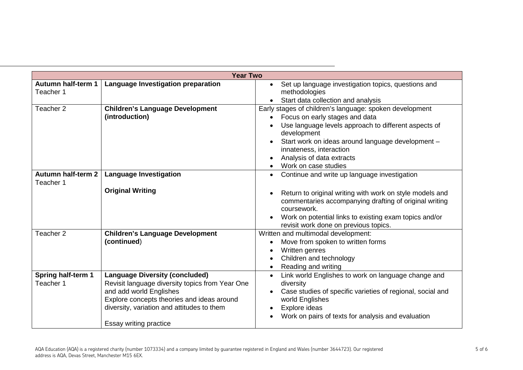| <b>Year Two</b>                        |                                                                                                                                                                                                                                           |                                                                                                                                                                                                                                                                                                                                              |  |
|----------------------------------------|-------------------------------------------------------------------------------------------------------------------------------------------------------------------------------------------------------------------------------------------|----------------------------------------------------------------------------------------------------------------------------------------------------------------------------------------------------------------------------------------------------------------------------------------------------------------------------------------------|--|
| Autumn half-term 1<br>Teacher 1        | Language Investigation preparation                                                                                                                                                                                                        | Set up language investigation topics, questions and<br>$\bullet$<br>methodologies<br>Start data collection and analysis<br>$\bullet$                                                                                                                                                                                                         |  |
| Teacher 2                              | <b>Children's Language Development</b><br>(introduction)                                                                                                                                                                                  | Early stages of children's language: spoken development<br>Focus on early stages and data<br>$\bullet$<br>Use language levels approach to different aspects of<br>development<br>Start work on ideas around language development -<br>$\bullet$<br>innateness, interaction<br>Analysis of data extracts<br>Work on case studies<br>$\bullet$ |  |
| <b>Autumn half-term 2</b><br>Teacher 1 | <b>Language Investigation</b><br><b>Original Writing</b>                                                                                                                                                                                  | Continue and write up language investigation<br>$\bullet$<br>Return to original writing with work on style models and<br>$\bullet$<br>commentaries accompanying drafting of original writing<br>coursework.<br>Work on potential links to existing exam topics and/or<br>revisit work done on previous topics.                               |  |
| Teacher 2                              | <b>Children's Language Development</b><br>(continued)                                                                                                                                                                                     | Written and multimodal development:<br>Move from spoken to written forms<br>$\bullet$<br>Written genres<br>$\bullet$<br>Children and technology<br>$\bullet$<br>Reading and writing<br>$\bullet$                                                                                                                                             |  |
| Spring half-term 1<br>Teacher 1        | <b>Language Diversity (concluded)</b><br>Revisit language diversity topics from Year One<br>and add world Englishes<br>Explore concepts theories and ideas around<br>diversity, variation and attitudes to them<br>Essay writing practice | Link world Englishes to work on language change and<br>$\bullet$<br>diversity<br>Case studies of specific varieties of regional, social and<br>$\bullet$<br>world Englishes<br>Explore ideas<br>Work on pairs of texts for analysis and evaluation                                                                                           |  |